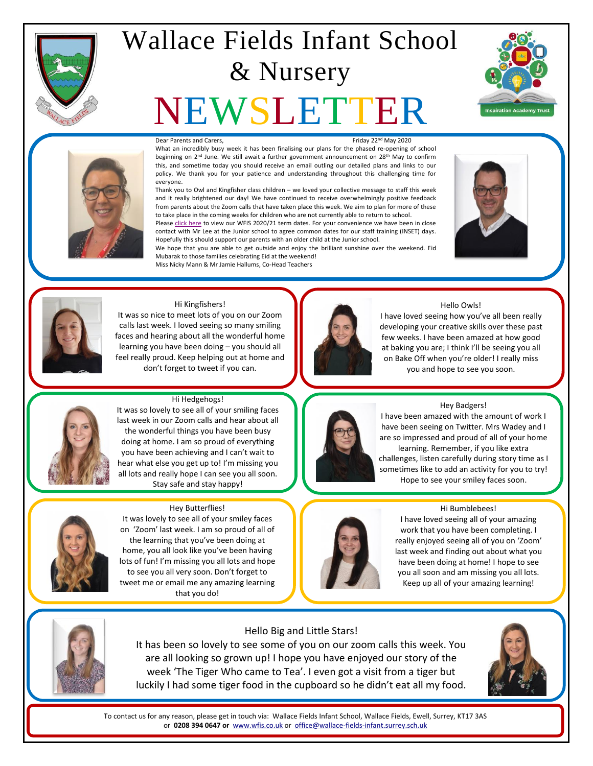

## Wallace Fields Infant School & Nursery

# EWSLET





#### Dear Parents and Carers. The control of the control of the Friday 22<sup>nd</sup> May 2020

What an incredibly busy week it has been finalising our plans for the phased re-opening of school beginning on 2<sup>nd</sup> June. We still await a further government announcement on 28<sup>th</sup> May to confirm this, and sometime today you should receive an email outling our detailed plans and links to our policy. We thank you for your patience and understanding throughout this challenging time for everyone.

Thank you to Owl and Kingfisher class children – we loved your collective message to staff this week and it really brightened our day! We have continued to receive overwhelmingly positive feedback from parents about the Zoom calls that have taken place this week. We aim to plan for more of these to take place in the coming weeks for children who are not currently able to return to school.

Please [click here](http://www.wfis.co.uk/Term-and-Holiday-Dates) to view our WFIS 2020/21 term dates. For your convenience we have been in close contact with Mr Lee at the Junior school to agree common dates for our staff training (INSET) days. Hopefully this should support our parents with an older child at the Junior school.

We hope that you are able to get outside and enjoy the brilliant sunshine over the weekend. Eid Mubarak to those families celebrating Eid at the weekend! Miss Nicky Mann & Mr Jamie Hallums, Co-Head Teachers





#### Hi Kingfishers!

It was so nice to meet lots of you on our Zoom calls last week. I loved seeing so many smiling faces and hearing about all the wonderful home learning you have been doing – you should all feel really proud. Keep helping out at home and don't forget to tweet if you can.



#### Hello Owls!

I have loved seeing how you've all been really developing your creative skills over these past few weeks. I have been amazed at how good at baking you are; I think I'll be seeing you all on Bake Off when you're older! I really miss you and hope to see you soon.



#### Hi Hedgehogs! It was so lovely to see all of your smiling faces last week in our Zoom calls and hear about all the wonderful things you have been busy doing at home. I am so proud of everything

you have been achieving and I can't wait to hear what else you get up to! I'm missing you all lots and really hope I can see you all soon. Stay safe and stay happy!



## Hey Butterflies!

It was lovely to see all of your smiley faces on 'Zoom' last week. I am so proud of all of the learning that you've been doing at home, you all look like you've been having lots of fun! I'm missing you all lots and hope to see you all very soon. Don't forget to tweet me or email me any amazing learning that you do!



#### Hey Badgers!

I have been amazed with the amount of work I have been seeing on Twitter. Mrs Wadey and I are so impressed and proud of all of your home learning. Remember, if you like extra challenges, listen carefully during story time as I sometimes like to add an activity for you to try! Hope to see your smiley faces soon.





I have loved seeing all of your amazing work that you have been completing. I really enjoyed seeing all of you on 'Zoom' last week and finding out about what you have been doing at home! I hope to see you all soon and am missing you all lots. Keep up all of your amazing learning!



#### Hello Big and Little Stars!

It has been so lovely to see some of you on our zoom calls this week. You are all looking so grown up! I hope you have enjoyed our story of the week 'The Tiger Who came to Tea'. I even got a visit from a tiger but luckily I had some tiger food in the cupboard so he didn't eat all my food.

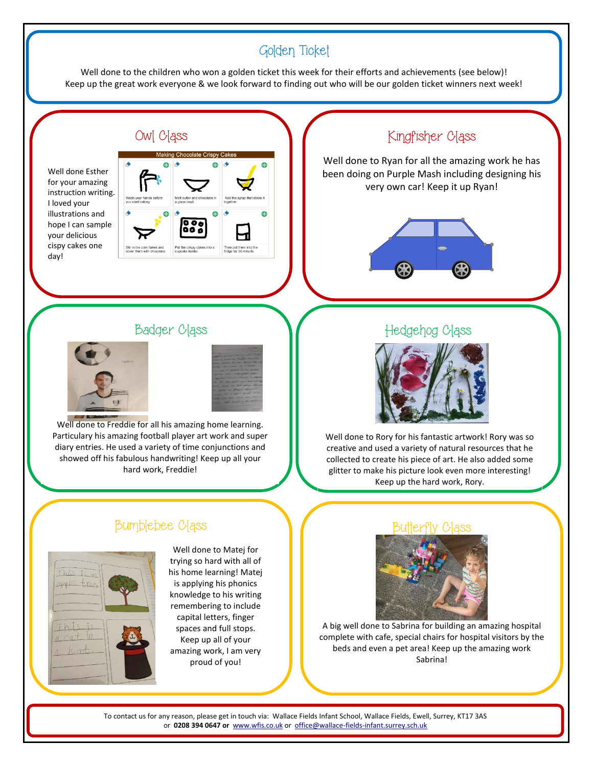## Golden Ticket

Well done to the children who won a golden ticket this week for their efforts and achievements (see below)! Keep up the great work everyone & we look forward to finding out who will be our golden ticket winners next week!

#### Owl Class

Well done Esther for your amazing instruction writing. I loved your illustrations and hope I can sample your delicious cispy cakes one day!



## Kingfisher Class

Well done to Ryan for all the amazing work he has been doing on Purple Mash including designing his very own car! Keep it up Ryan!



#### Badger Class





Well done to Freddie for all his amazing home learning. Particulary his amazing football player art work and super diary entries. He used a variety of time conjunctions and showed off his fabulous handwriting! Keep up all your hard work, Freddie!

#### Hedgehog Class



Well done to Rory for his fantastic artwork! Rory was so creative and used a variety of natural resources that he collected to create his piece of art. He also added some glitter to make his picture look even more interesting! Keep up the hard work, Rory.

### Bumblebee Class



Well done to Matej for trying so hard with all of his home learning! Matej is applying his phonics knowledge to his writing remembering to include capital letters, finger spaces and full stops. Keep up all of your amazing work, I am very proud of you!



A big well done to Sabrina for building an amazing hospital complete with cafe, special chairs for hospital visitors by the beds and even a pet area! Keep up the amazing work Sabrina!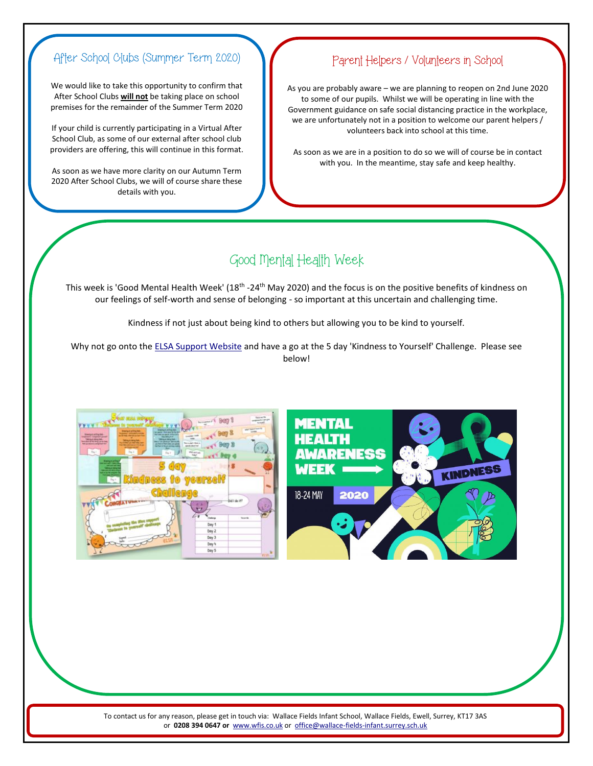## After School Clubs (Summer Term 2020)

We would like to take this opportunity to confirm that After School Clubs **will not** be taking place on school premises for the remainder of the Summer Term 2020

If your child is currently participating in a Virtual After School Club, as some of our external after school club providers are offering, this will continue in this format.

As soon as we have more clarity on our Autumn Term 2020 After School Clubs, we will of course share these details with you.

#### Parent Helpers / Volunteers in School

As you are probably aware – we are planning to reopen on 2nd June 2020 to some of our pupils. Whilst we will be operating in line with the Government guidance on safe social distancing practice in the workplace, we are unfortunately not in a position to welcome our parent helpers / volunteers back into school at this time.

As soon as we are in a position to do so we will of course be in contact with you. In the meantime, stay safe and keep healthy.

## Good Mental Health Week

This week is 'Good Mental Health Week' (18<sup>th</sup> -24<sup>th</sup> May 2020) and the focus is on the positive benefits of kindness on our feelings of self-worth and sense of belonging - so important at this uncertain and challenging time.

Kindness if not just about being kind to others but allowing you to be kind to yourself.

Why not go onto th[e ELSA Support Website](https://www.elsa-support.co.uk/?s=good+health) and have a go at the 5 day 'Kindness to Yourself' Challenge. Please see below!